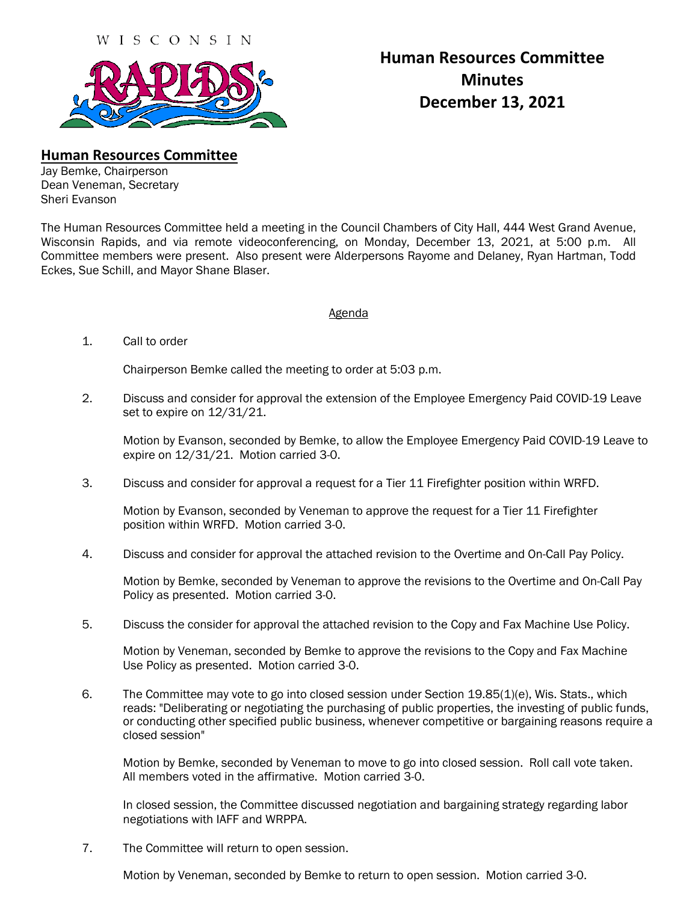

## **Human Resources Committee Minutes December 13, 2021**

**Human Resources Committee**

Jay Bemke, Chairperson Dean Veneman, Secretary Sheri Evanson

The Human Resources Committee held a meeting in the Council Chambers of City Hall, 444 West Grand Avenue, Wisconsin Rapids, and via remote videoconferencing, on Monday, December 13, 2021, at 5:00 p.m. All Committee members were present. Also present were Alderpersons Rayome and Delaney, Ryan Hartman, Todd Eckes, Sue Schill, and Mayor Shane Blaser.

## Agenda

1. Call to order

Chairperson Bemke called the meeting to order at 5:03 p.m.

2. Discuss and consider for approval the extension of the Employee Emergency Paid COVID-19 Leave set to expire on 12/31/21.

Motion by Evanson, seconded by Bemke, to allow the Employee Emergency Paid COVID-19 Leave to expire on 12/31/21. Motion carried 3-0.

3. Discuss and consider for approval a request for a Tier 11 Firefighter position within WRFD.

Motion by Evanson, seconded by Veneman to approve the request for a Tier 11 Firefighter position within WRFD. Motion carried 3-0.

4. Discuss and consider for approval the attached revision to the Overtime and On-Call Pay Policy.

Motion by Bemke, seconded by Veneman to approve the revisions to the Overtime and On-Call Pay Policy as presented. Motion carried 3-0.

5. Discuss the consider for approval the attached revision to the Copy and Fax Machine Use Policy.

Motion by Veneman, seconded by Bemke to approve the revisions to the Copy and Fax Machine Use Policy as presented. Motion carried 3-0.

 6. The Committee may vote to go into closed session under Section 19.85(1)(e), Wis. Stats., which reads: "Deliberating or negotiating the purchasing of public properties, the investing of public funds, or conducting other specified public business, whenever competitive or bargaining reasons require a closed session"

Motion by Bemke, seconded by Veneman to move to go into closed session. Roll call vote taken. All members voted in the affirmative. Motion carried 3-0.

In closed session, the Committee discussed negotiation and bargaining strategy regarding labor negotiations with IAFF and WRPPA.

7. The Committee will return to open session.

Motion by Veneman, seconded by Bemke to return to open session. Motion carried 3-0.